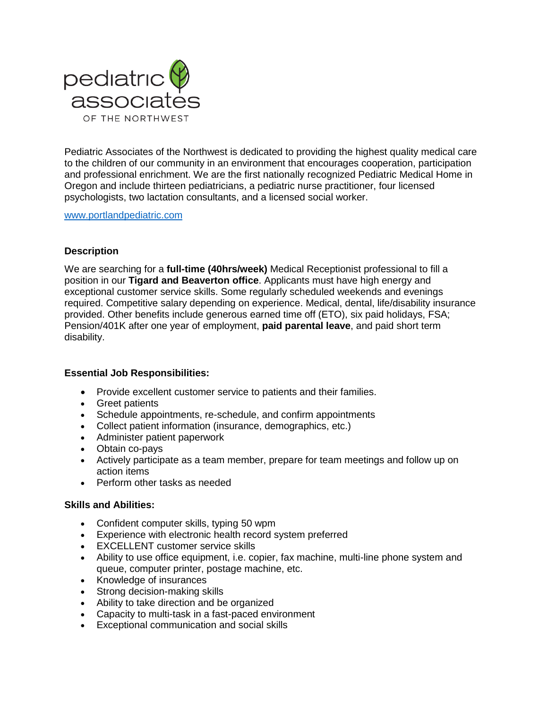

Pediatric Associates of the Northwest is dedicated to providing the highest quality medical care to the children of our community in an environment that encourages cooperation, participation and professional enrichment. We are the first nationally recognized Pediatric Medical Home in Oregon and include thirteen pediatricians, a pediatric nurse practitioner, four licensed psychologists, two lactation consultants, and a licensed social worker.

[www.portlandpediatric.com](http://www.portlandpediatric.com/)

### **Description**

We are searching for a **full-time (40hrs/week)** Medical Receptionist professional to fill a position in our **Tigard and Beaverton office**. Applicants must have high energy and exceptional customer service skills. Some regularly scheduled weekends and evenings required. Competitive salary depending on experience. Medical, dental, life/disability insurance provided. Other benefits include generous earned time off (ETO), six paid holidays, FSA; Pension/401K after one year of employment, **paid parental leave**, and paid short term disability.

### **Essential Job Responsibilities:**

- Provide excellent customer service to patients and their families.
- Greet patients
- Schedule appointments, re-schedule, and confirm appointments
- Collect patient information (insurance, demographics, etc.)
- Administer patient paperwork
- Obtain co-pays
- Actively participate as a team member, prepare for team meetings and follow up on action items
- Perform other tasks as needed

#### **Skills and Abilities:**

- Confident computer skills, typing 50 wpm
- Experience with electronic health record system preferred
- EXCELLENT customer service skills
- Ability to use office equipment, i.e. copier, fax machine, multi-line phone system and queue, computer printer, postage machine, etc.
- Knowledge of insurances
- Strong decision-making skills
- Ability to take direction and be organized
- Capacity to multi-task in a fast-paced environment
- Exceptional communication and social skills